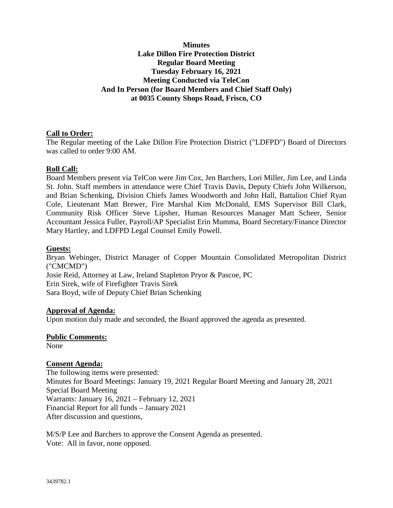# **Minutes Lake Dillon Fire Protection District Regular Board Meeting Tuesday February 16, 2021 Meeting Conducted via TeleCon And In Person (for Board Members and Chief Staff Only) at 0035 County Shops Road, Frisco, CO**

# **Call to Order:**

The Regular meeting of the Lake Dillon Fire Protection District ("LDFPD") Board of Directors was called to order 9:00 AM.

# **Roll Call:**

Board Members present via TelCon were Jim Cox, Jen Barchers, Lori Miller, Jim Lee, and Linda St. John. Staff members in attendance were Chief Travis Davis, Deputy Chiefs John Wilkerson, and Brian Schenking, Division Chiefs James Woodworth and John Hall, Battalion Chief Ryan Cole, Lieutenant Matt Brewer, Fire Marshal Kim McDonald, EMS Supervisor Bill Clark, Community Risk Officer Steve Lipsher, Human Resources Manager Matt Scheer, Senior Accountant Jessica Fuller, Payroll/AP Specialist Erin Mumma, Board Secretary/Finance Director Mary Hartley, and LDFPD Legal Counsel Emily Powell.

## **Guests:**

Bryan Webinger, District Manager of Copper Mountain Consolidated Metropolitan District ("CMCMD") Josie Reid, Attorney at Law, Ireland Stapleton Pryor & Pascoe, PC Erin Sirek, wife of Firefighter Travis Sirek Sara Boyd, wife of Deputy Chief Brian Schenking

## **Approval of Agenda:**

Upon motion duly made and seconded, the Board approved the agenda as presented.

## **Public Comments:**

None

## **Consent Agenda:**

The following items were presented: Minutes for Board Meetings: January 19, 2021 Regular Board Meeting and January 28, 2021 Special Board Meeting Warrants: January 16, 2021 – February 12, 2021 Financial Report for all funds – January 2021 After discussion and questions,

M/S/P Lee and Barchers to approve the Consent Agenda as presented. Vote: All in favor, none opposed.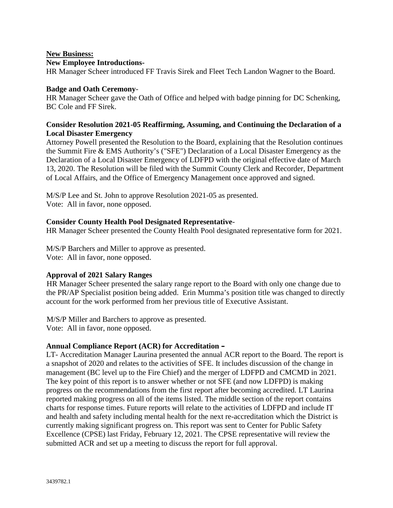## **New Business:**

#### **New Employee Introductions-**

HR Manager Scheer introduced FF Travis Sirek and Fleet Tech Landon Wagner to the Board.

#### **Badge and Oath Ceremony**-

HR Manager Scheer gave the Oath of Office and helped with badge pinning for DC Schenking, BC Cole and FF Sirek.

## **Consider Resolution 2021-05 Reaffirming, Assuming, and Continuing the Declaration of a Local Disaster Emergency**

Attorney Powell presented the Resolution to the Board, explaining that the Resolution continues the Summit Fire & EMS Authority's ("SFE") Declaration of a Local Disaster Emergency as the Declaration of a Local Disaster Emergency of LDFPD with the original effective date of March 13, 2020. The Resolution will be filed with the Summit County Clerk and Recorder, Department of Local Affairs, and the Office of Emergency Management once approved and signed.

M/S/P Lee and St. John to approve Resolution 2021-05 as presented. Vote: All in favor, none opposed.

#### **Consider County Health Pool Designated Representative**-

HR Manager Scheer presented the County Health Pool designated representative form for 2021.

M/S/P Barchers and Miller to approve as presented. Vote: All in favor, none opposed.

## **Approval of 2021 Salary Ranges**

HR Manager Scheer presented the salary range report to the Board with only one change due to the PR/AP Specialist position being added. Erin Mumma's position title was changed to directly account for the work performed from her previous title of Executive Assistant.

M/S/P Miller and Barchers to approve as presented. Vote: All in favor, none opposed.

## **Annual Compliance Report (ACR) for Accreditation –**

LT- Accreditation Manager Laurina presented the annual ACR report to the Board. The report is a snapshot of 2020 and relates to the activities of SFE. It includes discussion of the change in management (BC level up to the Fire Chief) and the merger of LDFPD and CMCMD in 2021.<br>The key point of this report is to answer whether or not SFE (and now LDFPD) is making progress on the recommendations from the first report after becoming accredited. LT Laurina reported making progress on all of the items listed. The middle section of the report contains charts for response times. Future reports will relate to the activities of LDFPD and include IT and health and safety including mental health for the next re-accreditation which the District is currently making significant progress on. This report was sent to Center for Public Safety Excellence (CPSE) last Friday, February 12, 2021. The CPSE representative will review the submitted ACR and set up a meeting to discuss the report for full approval.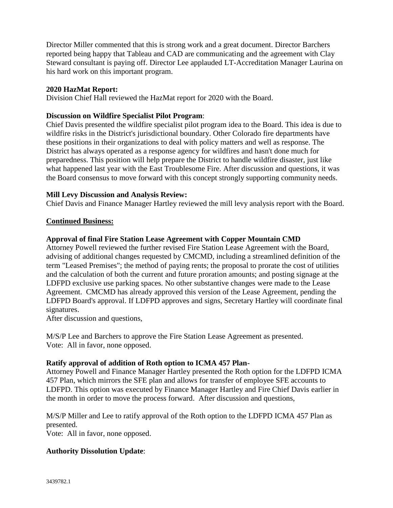Director Miller commented that this is strong work and a great document. Director Barchers reported being happy that Tableau and CAD are communicating and the agreement with Clay Steward consultant is paying off. Director Lee applauded LT-Accreditation Manager Laurina on his hard work on this important program.

## **2020 HazMat Report:**

Division Chief Hall reviewed the HazMat report for 2020 with the Board.

## **Discussion on Wildfire Specialist Pilot Program**:

Chief Davis presented the wildfire specialist pilot program idea to the Board. This idea is due to wildfire risks in the District's jurisdictional boundary. Other Colorado fire departments have these positions in their organizations to deal with policy matters and well as response. The District has always operated as a response agency for wildfires and hasn't done much for preparedness. This position will help prepare the District to handle wildfire disaster, just like what happened last year with the East Troublesome Fire. After discussion and questions, it was the Board consensus to move forward with this concept strongly supporting community needs.

# **Mill Levy Discussion and Analysis Review:**

Chief Davis and Finance Manager Hartley reviewed the mill levy analysis report with the Board.

# **Continued Business:**

# **Approval of final Fire Station Lease Agreement with Copper Mountain CMD**

Attorney Powell reviewed the further revised Fire Station Lease Agreement with the Board, advising of additional changes requested by CMCMD, including a streamlined definition of the term "Leased Premises"; the method of paying rents; the proposal to prorate the cost of utilities and the calculation of both the current and future proration amounts; and posting signage at the LDFPD exclusive use parking spaces. No other substantive changes were made to the Lease Agreement. CMCMD has already approved this version of the Lease Agreement, pending the LDFPD Board's approval. If LDFPD approves and signs, Secretary Hartley will coordinate final signatures.

After discussion and questions,

M/S/P Lee and Barchers to approve the Fire Station Lease Agreement as presented. Vote: All in favor, none opposed.

# **Ratify approval of addition of Roth option to ICMA 457 Plan-**

Attorney Powell and Finance Manager Hartley presented the Roth option for the LDFPD ICMA 457 Plan, which mirrors the SFE plan and allows for transfer of employee SFE accounts to LDFPD. This option was executed by Finance Manager Hartley and Fire Chief Davis earlier in the month in order to move the process forward. After discussion and questions,

M/S/P Miller and Lee to ratify approval of the Roth option to the LDFPD ICMA 457 Plan as presented.

Vote: All in favor, none opposed.

# **Authority Dissolution Update**: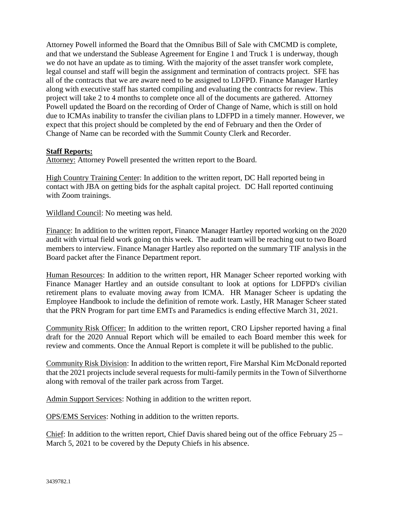Attorney Powell informed the Board that the Omnibus Bill of Sale with CMCMD is complete, and that we understand the Sublease Agreement for Engine 1 and Truck 1 is underway, though we do not have an update as to timing. With the majority of the asset transfer work complete, legal counsel and staff will begin the assignment and termination of contracts project. SFE has all of the contracts that we are aware need to be assigned to LDFPD. Finance Manager Hartley along with executive staff has started compiling and evaluating the contracts for review. This project will take 2 to 4 months to complete once all of the documents are gathered. Attorney Powell updated the Board on the recording of Order of Change of Name, which is still on hold due to ICMAs inability to transfer the civilian plans to LDFPD in a timely manner. However, we expect that this project should be completed by the end of February and then the Order of Change of Name can be recorded with the Summit County Clerk and Recorder.

## **Staff Reports:**

Attorney: Attorney Powell presented the written report to the Board.

High Country Training Center: In addition to the written report, DC Hall reported being in contact with JBA on getting bids for the asphalt capital project. DC Hall reported continuing with Zoom trainings.

Wildland Council: No meeting was held.

Finance: In addition to the written report, Finance Manager Hartley reported working on the 2020 audit with virtual field work going on this week. The audit team will be reaching out to two Board members to interview. Finance Manager Hartley also reported on the summary TIF analysis in the Board packet after the Finance Department report.

Human Resources: In addition to the written report, HR Manager Scheer reported working with Finance Manager Hartley and an outside consultant to look at options for LDFPD's civilian retirement plans to evaluate moving away from ICMA. HR Manager Scheer is updating the Employee Handbook to include the definition of remote work. Lastly, HR Manager Scheer stated that the PRN Program for part time EMTs and Paramedics is ending effective March 31, 2021.

Community Risk Officer: In addition to the written report, CRO Lipsher reported having a final draft for the 2020 Annual Report which will be emailed to each Board member this week for review and comments. Once the Annual Report is complete it will be published to the public.

Community Risk Division: In addition to the written report, Fire Marshal Kim McDonald reported that the 2021 projects include several requests for multi-family permits in the Town of Silverthorne along with removal of the trailer park across from Target.

Admin Support Services: Nothing in addition to the written report.

OPS/EMS Services: Nothing in addition to the written reports.

Chief: In addition to the written report, Chief Davis shared being out of the office February 25 – March 5, 2021 to be covered by the Deputy Chiefs in his absence.